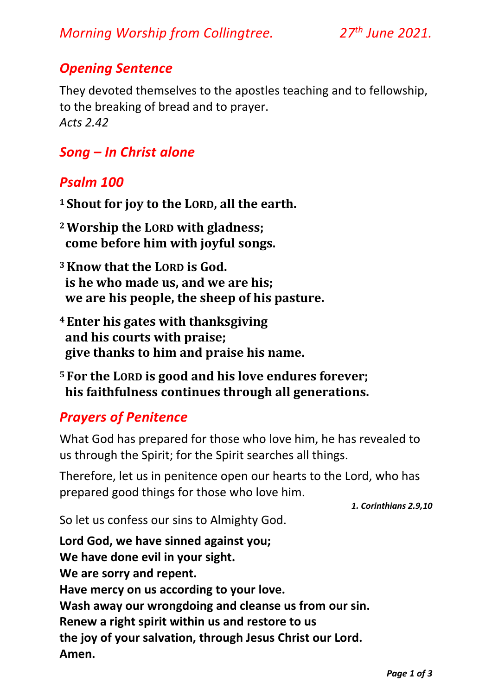## *Opening Sentence*

They devoted themselves to the apostles teaching and to fellowship, to the breaking of bread and to prayer. *Acts 2.42*

# *Song – In Christ alone*

### *Psalm 100*

- **<sup>1</sup> Shout for joy to the LORD, all the earth.**
- **<sup>2</sup>Worship the LORD with gladness; come before him with joyful songs.**
- **<sup>3</sup>Know that the LORD is God. is he who made us, and we are his; we are his people, the sheep of his pasture.**
- **<sup>4</sup> Enter his gates with thanksgiving and his courts with praise; give thanks to him and praise his name.**
- **<sup>5</sup> For the LORD is good and his love endures forever; his faithfulness continues through all generations.**

### *Prayers of Penitence*

What God has prepared for those who love him, he has revealed to us through the Spirit; for the Spirit searches all things.

Therefore, let us in penitence open our hearts to the Lord, who has prepared good things for those who love him.

*1. Corinthians 2.9,10* 

So let us confess our sins to Almighty God.

**Lord God, we have sinned against you; We have done evil in your sight. We are sorry and repent. Have mercy on us according to your love. Wash away our wrongdoing and cleanse us from our sin. Renew a right spirit within us and restore to us the joy of your salvation, through Jesus Christ our Lord. Amen.**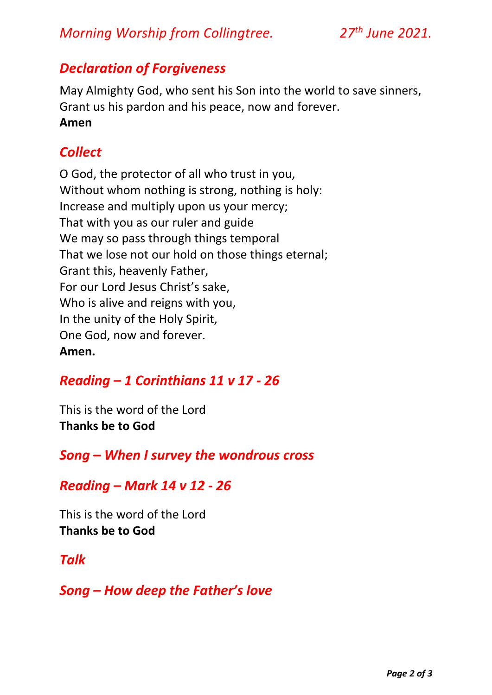## *Morning Worship from Collingtree. 27th June 2021.*

#### *Declaration of Forgiveness*

May Almighty God, who sent his Son into the world to save sinners, Grant us his pardon and his peace, now and forever. **Amen** 

### *Collect*

O God, the protector of all who trust in you, Without whom nothing is strong, nothing is holy: Increase and multiply upon us your mercy; That with you as our ruler and guide We may so pass through things temporal That we lose not our hold on those things eternal; Grant this, heavenly Father, For our Lord Jesus Christ's sake, Who is alive and reigns with you, In the unity of the Holy Spirit, One God, now and forever. **Amen.**

### *Reading – 1 Corinthians 11 v 17 - 26*

This is the word of the Lord **Thanks be to God**

*Song – When I survey the wondrous cross*

#### *Reading – Mark 14 v 12 - 26*

This is the word of the Lord **Thanks be to God**

#### *Talk*

*Song – How deep the Father's love*